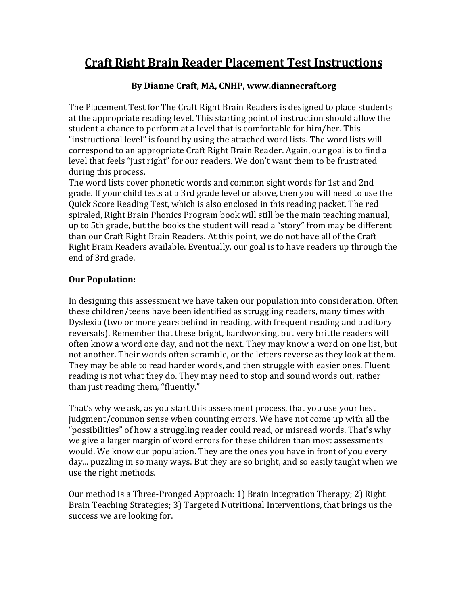## **Craft Right Brain Reader Placement Test Instructions**

#### **By Dianne Craft, MA, CNHP, www.diannecraft.org**

The Placement Test for The Craft Right Brain Readers is designed to place students at the appropriate reading level. This starting point of instruction should allow the student a chance to perform at a level that is comfortable for him/her. This "instructional level" is found by using the attached word lists. The word lists will correspond to an appropriate Craft Right Brain Reader. Again, our goal is to find a level that feels "just right" for our readers. We don't want them to be frustrated during this process.

The word lists cover phonetic words and common sight words for 1st and 2nd grade. If your child tests at a 3rd grade level or above, then you will need to use the Quick Score Reading Test, which is also enclosed in this reading packet. The red spiraled, Right Brain Phonics Program book will still be the main teaching manual, up to 5th grade, but the books the student will read a "story" from may be different than our Craft Right Brain Readers. At this point, we do not have all of the Craft Right Brain Readers available. Eventually, our goal is to have readers up through the end of 3rd grade.

### **Our Population:**

In designing this assessment we have taken our population into consideration. Often these children/teens have been identified as struggling readers, many times with Dyslexia (two or more years behind in reading, with frequent reading and auditory reversals). Remember that these bright, hardworking, but very brittle readers will often know a word one day, and not the next. They may know a word on one list, but not another. Their words often scramble, or the letters reverse as they look at them. They may be able to read harder words, and then struggle with easier ones. Fluent reading is not what they do. They may need to stop and sound words out, rather than just reading them, "fluently."

That's why we ask, as you start this assessment process, that you use your best judgment/common sense when counting errors. We have not come up with all the "possibilities" of how a struggling reader could read, or misread words. That's why we give a larger margin of word errors for these children than most assessments would. We know our population. They are the ones you have in front of you every day... puzzling in so many ways. But they are so bright, and so easily taught when we use the right methods.

Our method is a Three-Pronged Approach: 1) Brain Integration Therapy; 2) Right Brain Teaching Strategies; 3) Targeted Nutritional Interventions, that brings us the success we are looking for.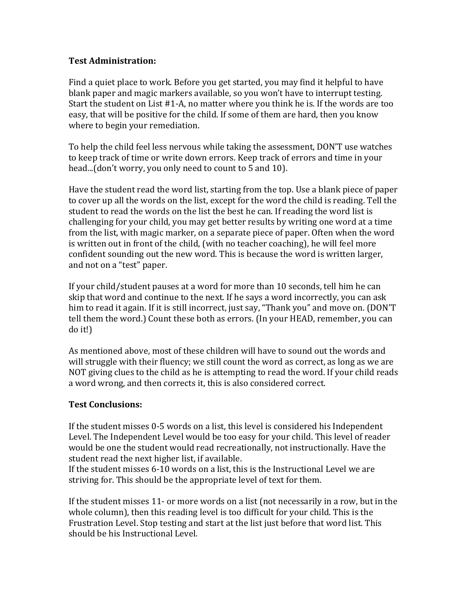#### **Test Administration:**

Find a quiet place to work. Before you get started, you may find it helpful to have blank paper and magic markers available, so you won't have to interrupt testing. Start the student on List  $#1-A$ , no matter where you think he is. If the words are too easy, that will be positive for the child. If some of them are hard, then you know where to begin your remediation.

To help the child feel less nervous while taking the assessment, DON'T use watches to keep track of time or write down errors. Keep track of errors and time in your head...(don't worry, you only need to count to 5 and 10).

Have the student read the word list, starting from the top. Use a blank piece of paper to cover up all the words on the list, except for the word the child is reading. Tell the student to read the words on the list the best he can. If reading the word list is challenging for your child, you may get better results by writing one word at a time from the list, with magic marker, on a separate piece of paper. Often when the word is written out in front of the child, (with no teacher coaching), he will feel more confident sounding out the new word. This is because the word is written larger, and not on a "test" paper.

If your child/student pauses at a word for more than 10 seconds, tell him he can skip that word and continue to the next. If he says a word incorrectly, you can ask him to read it again. If it is still incorrect, just say, "Thank you" and move on. (DON'T tell them the word.) Count these both as errors. (In your HEAD, remember, you can do it!)

As mentioned above, most of these children will have to sound out the words and will struggle with their fluency; we still count the word as correct, as long as we are NOT giving clues to the child as he is attempting to read the word. If your child reads a word wrong, and then corrects it, this is also considered correct.

#### **Test Conclusions:**

If the student misses 0-5 words on a list, this level is considered his Independent Level. The Independent Level would be too easy for your child. This level of reader would be one the student would read recreationally, not instructionally. Have the student read the next higher list, if available.

If the student misses 6-10 words on a list, this is the Instructional Level we are striving for. This should be the appropriate level of text for them.

If the student misses  $11$ - or more words on a list (not necessarily in a row, but in the whole column), then this reading level is too difficult for your child. This is the Frustration Level. Stop testing and start at the list just before that word list. This should be his Instructional Level.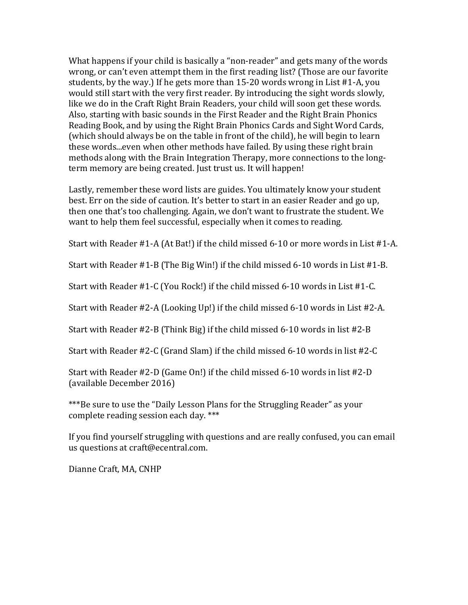What happens if your child is basically a "non-reader" and gets many of the words wrong, or can't even attempt them in the first reading list? (Those are our favorite students, by the way.) If he gets more than 15-20 words wrong in List  $#1-A$ , you would still start with the very first reader. By introducing the sight words slowly, like we do in the Craft Right Brain Readers, your child will soon get these words. Also, starting with basic sounds in the First Reader and the Right Brain Phonics Reading Book, and by using the Right Brain Phonics Cards and Sight Word Cards, (which should always be on the table in front of the child), he will begin to learn these words...even when other methods have failed. By using these right brain methods along with the Brain Integration Therapy, more connections to the longterm memory are being created. Just trust us. It will happen!

Lastly, remember these word lists are guides. You ultimately know your student best. Err on the side of caution. It's better to start in an easier Reader and go up, then one that's too challenging. Again, we don't want to frustrate the student. We want to help them feel successful, especially when it comes to reading.

Start with Reader  $#1-A$  (At Bat!) if the child missed 6-10 or more words in List  $#1-A$ .

Start with Reader  $#1-B$  (The Big Win!) if the child missed 6-10 words in List  $#1-B$ .

Start with Reader  $#1$ -C (You Rock!) if the child missed 6-10 words in List  $#1$ -C.

Start with Reader  $#2-A$  (Looking Up!) if the child missed 6-10 words in List  $#2-A$ .

Start with Reader  $#2-B$  (Think Big) if the child missed 6-10 words in list  $#2-B$ 

Start with Reader  $#2$ -C (Grand Slam) if the child missed 6-10 words in list  $#2$ -C

Start with Reader  $#2-D$  (Game On!) if the child missed 6-10 words in list  $#2-D$ (available December 2016)

\*\*\*Be sure to use the "Daily Lesson Plans for the Struggling Reader" as your complete reading session each day. \*\*\*

If you find yourself struggling with questions and are really confused, you can email us questions at craft@ecentral.com.

Dianne Craft, MA, CNHP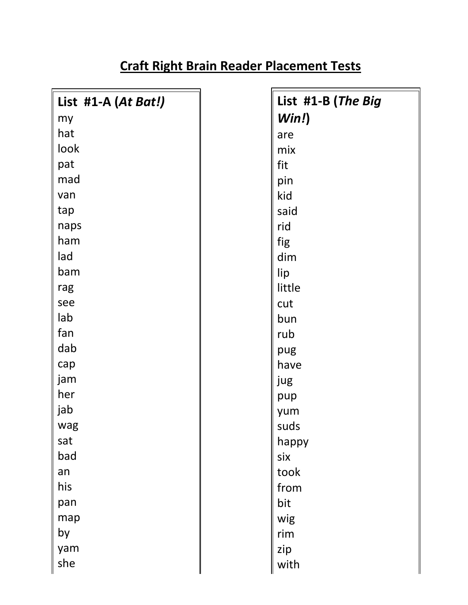| List #1-A (At Bat!) | List #1-B (The Big |  |
|---------------------|--------------------|--|
| my                  | Win!)              |  |
| hat                 | are                |  |
| look                | mix                |  |
| pat                 | fit                |  |
| mad                 | pin                |  |
| van                 | kid                |  |
| tap                 | said               |  |
| naps                | rid                |  |
| ham                 | fig                |  |
| lad                 | dim                |  |
| bam                 | lip                |  |
| rag                 | little             |  |
| see                 | cut                |  |
| lab                 | bun                |  |
| fan                 | rub                |  |
| dab                 | pug                |  |
| cap                 | have               |  |
| jam                 | jug                |  |
| her                 | pup                |  |
| jab                 | yum                |  |
| wag                 | suds               |  |
| sat                 | happy              |  |
| bad                 | six                |  |
| an                  | took               |  |
| his                 | from               |  |
| pan                 | bit                |  |
| map                 | wig                |  |
| by                  | rim                |  |
| yam                 | zip                |  |
| she                 | with               |  |
|                     |                    |  |

# **Craft Right Brain Reader Placement Tests**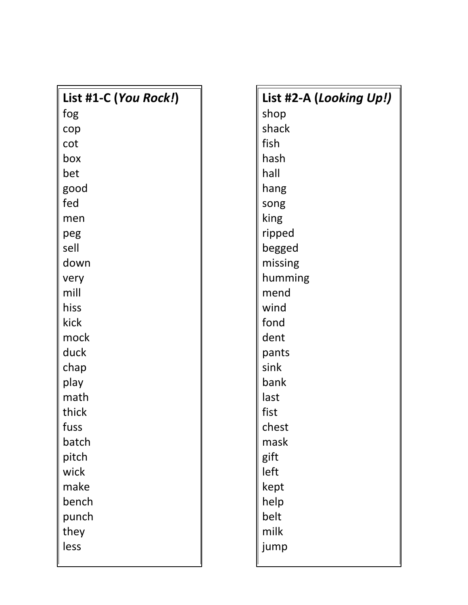| List #1-C (You Rock!) | List #2-A (Looking Up!) |  |  |
|-----------------------|-------------------------|--|--|
| fog                   | shop                    |  |  |
| cop                   | shack                   |  |  |
| cot                   | fish                    |  |  |
| box                   | hash                    |  |  |
| bet                   | hall                    |  |  |
| good                  | hang                    |  |  |
| fed                   | song                    |  |  |
| men                   | king                    |  |  |
| peg                   | ripped                  |  |  |
| sell                  | begged                  |  |  |
| down                  | missing                 |  |  |
| very                  | humming                 |  |  |
| mill                  | mend                    |  |  |
| hiss                  | wind                    |  |  |
| kick                  | fond                    |  |  |
| mock                  | dent                    |  |  |
| duck                  | pants                   |  |  |
| chap                  | sink                    |  |  |
| play                  | bank                    |  |  |
| math                  | last                    |  |  |
| thick                 | fist                    |  |  |
| tuss                  | chest                   |  |  |
| batch                 | mask                    |  |  |
| pitch                 | gift                    |  |  |
| wick                  | left                    |  |  |
| make                  | kept                    |  |  |
| bench                 | help                    |  |  |
| punch                 | belt                    |  |  |
| they                  | milk                    |  |  |
| less                  | jump                    |  |  |
|                       |                         |  |  |